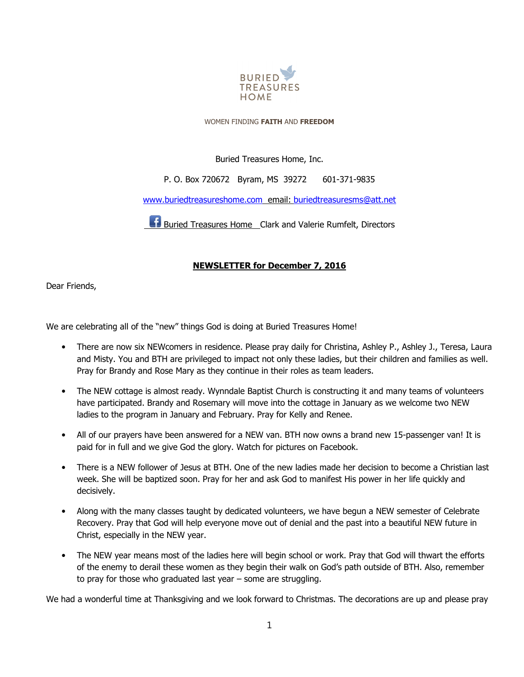

#### WOMEN FINDING **FAITH** AND **FREEDOM**

## Buried Treasures Home, Inc.

## P. O. Box 720672 Byram, MS 39272 601-371-9835

#### www.buriedtreasureshome.com email: buriedtreasuresms@att.net

**Buried Treasures Home** Clark and Valerie Rumfelt, Directors

# **NEWSLETTER for December 7, 2016**

Dear Friends,

We are celebrating all of the "new" things God is doing at Buried Treasures Home!

- There are now six NEWcomers in residence. Please pray daily for Christina, Ashley P., Ashley J., Teresa, Laura and Misty. You and BTH are privileged to impact not only these ladies, but their children and families as well. Pray for Brandy and Rose Mary as they continue in their roles as team leaders.
- The NEW cottage is almost ready. Wynndale Baptist Church is constructing it and many teams of volunteers have participated. Brandy and Rosemary will move into the cottage in January as we welcome two NEW ladies to the program in January and February. Pray for Kelly and Renee.
- All of our prayers have been answered for a NEW van. BTH now owns a brand new 15-passenger van! It is paid for in full and we give God the glory. Watch for pictures on Facebook.
- There is a NEW follower of Jesus at BTH. One of the new ladies made her decision to become a Christian last week. She will be baptized soon. Pray for her and ask God to manifest His power in her life quickly and decisively.
- Along with the many classes taught by dedicated volunteers, we have begun a NEW semester of Celebrate Recovery. Pray that God will help everyone move out of denial and the past into a beautiful NEW future in Christ, especially in the NEW year.
- The NEW year means most of the ladies here will begin school or work. Pray that God will thwart the efforts of the enemy to derail these women as they begin their walk on God's path outside of BTH. Also, remember to pray for those who graduated last year – some are struggling.

We had a wonderful time at Thanksgiving and we look forward to Christmas. The decorations are up and please pray